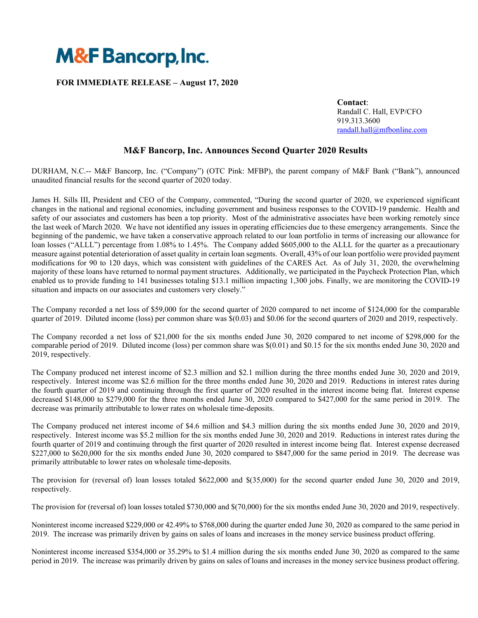

## **FOR IMMEDIATE RELEASE – August 17, 2020**

 **Contact**: Randall C. Hall, EVP/CFO 919.313.3600 randall.hall@mfbonline.com

# **M&F Bancorp, Inc. Announces Second Quarter 2020 Results**

DURHAM, N.C.-- M&F Bancorp, Inc. ("Company") (OTC Pink: MFBP), the parent company of M&F Bank ("Bank"), announced unaudited financial results for the second quarter of 2020 today.

James H. Sills III, President and CEO of the Company, commented, "During the second quarter of 2020, we experienced significant changes in the national and regional economies, including government and business responses to the COVID-19 pandemic. Health and safety of our associates and customers has been a top priority. Most of the administrative associates have been working remotely since the last week of March 2020. We have not identified any issues in operating efficiencies due to these emergency arrangements. Since the beginning of the pandemic, we have taken a conservative approach related to our loan portfolio in terms of increasing our allowance for loan losses ("ALLL") percentage from 1.08% to 1.45%. The Company added \$605,000 to the ALLL for the quarter as a precautionary measure against potential deterioration of asset quality in certain loan segments. Overall, 43% of our loan portfolio were provided payment modifications for 90 to 120 days, which was consistent with guidelines of the CARES Act. As of July 31, 2020, the overwhelming majority of these loans have returned to normal payment structures. Additionally, we participated in the Paycheck Protection Plan, which enabled us to provide funding to 141 businesses totaling \$13.1 million impacting 1,300 jobs. Finally, we are monitoring the COVID-19 situation and impacts on our associates and customers very closely."

The Company recorded a net loss of \$59,000 for the second quarter of 2020 compared to net income of \$124,000 for the comparable quarter of 2019. Diluted income (loss) per common share was \$(0.03) and \$0.06 for the second quarters of 2020 and 2019, respectively.

The Company recorded a net loss of \$21,000 for the six months ended June 30, 2020 compared to net income of \$298,000 for the comparable period of 2019. Diluted income (loss) per common share was \$(0.01) and \$0.15 for the six months ended June 30, 2020 and 2019, respectively.

The Company produced net interest income of \$2.3 million and \$2.1 million during the three months ended June 30, 2020 and 2019, respectively. Interest income was \$2.6 million for the three months ended June 30, 2020 and 2019. Reductions in interest rates during the fourth quarter of 2019 and continuing through the first quarter of 2020 resulted in the interest income being flat. Interest expense decreased \$148,000 to \$279,000 for the three months ended June 30, 2020 compared to \$427,000 for the same period in 2019. The decrease was primarily attributable to lower rates on wholesale time-deposits.

The Company produced net interest income of \$4.6 million and \$4.3 million during the six months ended June 30, 2020 and 2019, respectively. Interest income was \$5.2 million for the six months ended June 30, 2020 and 2019. Reductions in interest rates during the fourth quarter of 2019 and continuing through the first quarter of 2020 resulted in interest income being flat. Interest expense decreased \$227,000 to \$620,000 for the six months ended June 30, 2020 compared to \$847,000 for the same period in 2019. The decrease was primarily attributable to lower rates on wholesale time-deposits.

The provision for (reversal of) loan losses totaled \$622,000 and \$(35,000) for the second quarter ended June 30, 2020 and 2019, respectively.

The provision for (reversal of) loan losses totaled \$730,000 and \$(70,000) for the six months ended June 30, 2020 and 2019, respectively.

Noninterest income increased \$229,000 or 42.49% to \$768,000 during the quarter ended June 30, 2020 as compared to the same period in 2019. The increase was primarily driven by gains on sales of loans and increases in the money service business product offering.

Noninterest income increased \$354,000 or 35.29% to \$1.4 million during the six months ended June 30, 2020 as compared to the same period in 2019. The increase was primarily driven by gains on sales of loans and increases in the money service business product offering.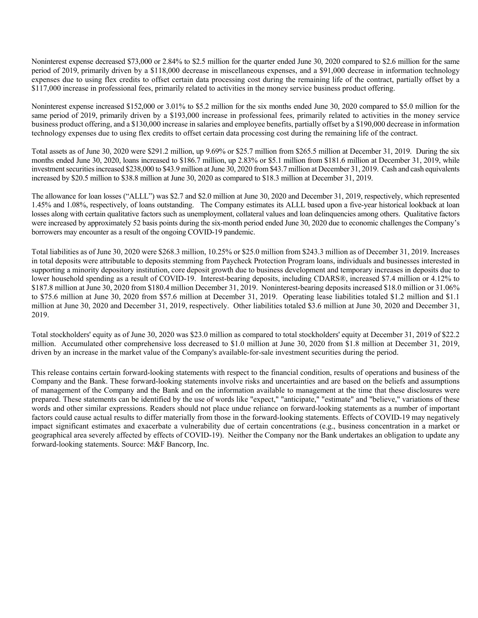Noninterest expense decreased \$73,000 or 2.84% to \$2.5 million for the quarter ended June 30, 2020 compared to \$2.6 million for the same period of 2019, primarily driven by a \$118,000 decrease in miscellaneous expenses, and a \$91,000 decrease in information technology expenses due to using flex credits to offset certain data processing cost during the remaining life of the contract, partially offset by a \$117,000 increase in professional fees, primarily related to activities in the money service business product offering.

Noninterest expense increased \$152,000 or 3.01% to \$5.2 million for the six months ended June 30, 2020 compared to \$5.0 million for the same period of 2019, primarily driven by a \$193,000 increase in professional fees, primarily related to activities in the money service business product offering, and a \$130,000 increase in salaries and employee benefits, partially offset by a \$190,000 decrease in information technology expenses due to using flex credits to offset certain data processing cost during the remaining life of the contract.

Total assets as of June 30, 2020 were \$291.2 million, up 9.69% or \$25.7 million from \$265.5 million at December 31, 2019. During the six months ended June 30, 2020, loans increased to \$186.7 million, up 2.83% or \$5.1 million from \$181.6 million at December 31, 2019, while investment securities increased \$238,000 to \$43.9 million at June 30, 2020 from \$43.7 million at December 31, 2019. Cash and cash equivalents increased by \$20.5 million to \$38.8 million at June 30, 2020 as compared to \$18.3 million at December 31, 2019.

The allowance for loan losses ("ALLL") was \$2.7 and \$2.0 million at June 30, 2020 and December 31, 2019, respectively, which represented 1.45% and 1.08%, respectively, of loans outstanding. The Company estimates its ALLL based upon a five-year historical lookback at loan losses along with certain qualitative factors such as unemployment, collateral values and loan delinquencies among others. Qualitative factors were increased by approximately 52 basis points during the six-month period ended June 30, 2020 due to economic challenges the Company's borrowers may encounter as a result of the ongoing COVID-19 pandemic.

Total liabilities as of June 30, 2020 were \$268.3 million, 10.25% or \$25.0 million from \$243.3 million as of December 31, 2019. Increases in total deposits were attributable to deposits stemming from Paycheck Protection Program loans, individuals and businesses interested in supporting a minority depository institution, core deposit growth due to business development and temporary increases in deposits due to lower household spending as a result of COVID-19. Interest-bearing deposits, including CDARS®, increased \$7.4 million or 4.12% to \$187.8 million at June 30, 2020 from \$180.4 million December 31, 2019. Noninterest-bearing deposits increased \$18.0 million or 31.06% to \$75.6 million at June 30, 2020 from \$57.6 million at December 31, 2019. Operating lease liabilities totaled \$1.2 million and \$1.1 million at June 30, 2020 and December 31, 2019, respectively. Other liabilities totaled \$3.6 million at June 30, 2020 and December 31, 2019.

Total stockholders' equity as of June 30, 2020 was \$23.0 million as compared to total stockholders' equity at December 31, 2019 of \$22.2 million. Accumulated other comprehensive loss decreased to \$1.0 million at June 30, 2020 from \$1.8 million at December 31, 2019, driven by an increase in the market value of the Company's available-for-sale investment securities during the period.

This release contains certain forward-looking statements with respect to the financial condition, results of operations and business of the Company and the Bank. These forward-looking statements involve risks and uncertainties and are based on the beliefs and assumptions of management of the Company and the Bank and on the information available to management at the time that these disclosures were prepared. These statements can be identified by the use of words like "expect," "anticipate," "estimate" and "believe," variations of these words and other similar expressions. Readers should not place undue reliance on forward-looking statements as a number of important factors could cause actual results to differ materially from those in the forward-looking statements. Effects of COVID-19 may negatively impact significant estimates and exacerbate a vulnerability due of certain concentrations (e.g., business concentration in a market or geographical area severely affected by effects of COVID-19). Neither the Company nor the Bank undertakes an obligation to update any forward-looking statements. Source: M&F Bancorp, Inc.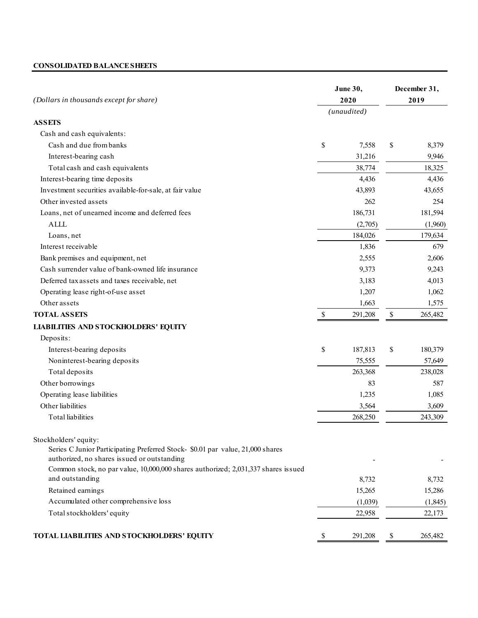## **CONSOLIDATED BALANCE SHEETS**

| (Dollars in thousands except for share)                                                                                       |    | June 30,<br>2020 |    | December 31,<br>2019 |  |
|-------------------------------------------------------------------------------------------------------------------------------|----|------------------|----|----------------------|--|
|                                                                                                                               |    | (unaudited)      |    |                      |  |
| <b>ASSETS</b>                                                                                                                 |    |                  |    |                      |  |
| Cash and cash equivalents:                                                                                                    |    |                  |    |                      |  |
| Cash and due from banks                                                                                                       | \$ | 7,558            | \$ | 8,379                |  |
| Interest-bearing cash                                                                                                         |    | 31,216           |    | 9,946                |  |
| Total cash and cash equivalents                                                                                               |    | 38,774           |    | 18,325               |  |
| Interest-bearing time deposits                                                                                                |    | 4,436            |    | 4,436                |  |
| Investment securities available-for-sale, at fair value                                                                       |    | 43,893           |    | 43,655               |  |
| Other invested assets                                                                                                         |    | 262              |    | 254                  |  |
| Loans, net of unearned income and deferred fees                                                                               |    | 186,731          |    | 181,594              |  |
| <b>ALLL</b>                                                                                                                   |    | (2,705)          |    | (1,960)              |  |
| Loans, net                                                                                                                    |    | 184,026          |    | 179,634              |  |
| Interest receivable                                                                                                           |    | 1,836            |    | 679                  |  |
| Bank premises and equipment, net                                                                                              |    | 2,555            |    | 2,606                |  |
| Cash surrender value of bank-owned life insurance                                                                             |    | 9,373            |    | 9,243                |  |
| Deferred tax assets and taxes receivable, net                                                                                 |    | 3,183            |    | 4,013                |  |
| Operating lease right-of-use asset                                                                                            |    | 1,207            |    | 1,062                |  |
| Other assets                                                                                                                  |    | 1,663            |    | 1,575                |  |
| <b>TOTAL ASSETS</b>                                                                                                           | \$ | 291,208          | \$ | 265,482              |  |
| <b>LIABILITIES AND STOCKHOLDERS' EQUITY</b>                                                                                   |    |                  |    |                      |  |
| Deposits:                                                                                                                     |    |                  |    |                      |  |
| Interest-bearing deposits                                                                                                     | \$ | 187,813          | \$ | 180,379              |  |
| Noninterest-bearing deposits                                                                                                  |    | 75,555           |    | 57,649               |  |
| Total deposits                                                                                                                |    | 263,368          |    | 238,028              |  |
| Other borrowings                                                                                                              |    | 83               |    | 587                  |  |
| Operating lease liabilities                                                                                                   |    | 1,235            |    | 1,085                |  |
| Other liabilities                                                                                                             |    | 3,564            |    | 3,609                |  |
| <b>Total</b> liabilities                                                                                                      |    | 268,250          |    | 243,309              |  |
| Stockholders' equity:                                                                                                         |    |                  |    |                      |  |
| Series C Junior Participating Preferred Stock- \$0.01 par value, 21,000 shares<br>authorized, no shares issued or outstanding |    |                  |    |                      |  |
| Common stock, no par value, 10,000,000 shares authorized; 2,031,337 shares issued                                             |    |                  |    |                      |  |
| and outstanding                                                                                                               |    | 8,732            |    | 8,732                |  |
| Retained earnings                                                                                                             |    | 15,265           |    | 15,286               |  |
| Accumulated other comprehensive loss                                                                                          |    | (1,039)          |    | (1, 845)             |  |
| Total stockholders' equity                                                                                                    |    | 22,958           |    | 22,173               |  |
| TOTAL LIABILITIES AND STOCKHOLDERS' EQUITY                                                                                    | \$ | 291,208          | \$ | 265,482              |  |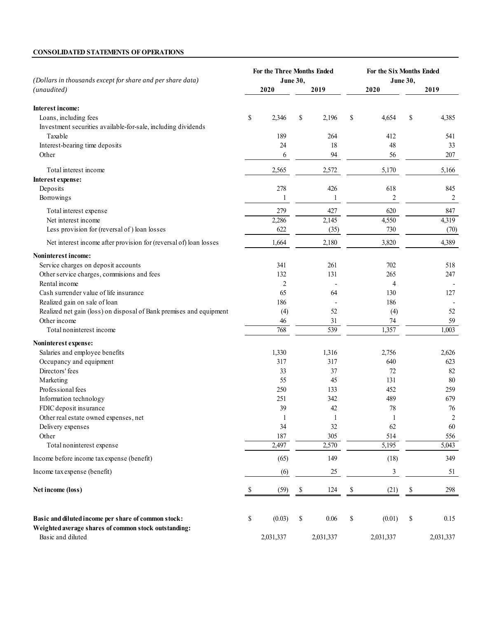## **CONSOLIDATED STATEMENTS OF OPERATIONS**

| (Dollars in thousands except for share and per share data)                                                  | For the Three Months Ended<br><b>June 30,</b>                         |           |    | For the Six Months Ended<br><b>June 30,</b> |                                                                       |                |    |                |  |
|-------------------------------------------------------------------------------------------------------------|-----------------------------------------------------------------------|-----------|----|---------------------------------------------|-----------------------------------------------------------------------|----------------|----|----------------|--|
| (unaudited)                                                                                                 |                                                                       | 2020      |    | 2019                                        |                                                                       | 2020           |    | 2019           |  |
| <b>Interest income:</b>                                                                                     |                                                                       |           |    |                                             |                                                                       |                |    |                |  |
| Loans, including fees                                                                                       | \$                                                                    | 2,346     | \$ | 2,196                                       | \$                                                                    | 4,654          | \$ | 4,385          |  |
| Investment securities available-for-sale, including dividends                                               |                                                                       |           |    |                                             |                                                                       |                |    |                |  |
| Taxable                                                                                                     |                                                                       | 189       |    | 264                                         |                                                                       | 412            |    | 541            |  |
| Interest-bearing time deposits                                                                              |                                                                       | 24        |    | 18                                          |                                                                       | 48             |    | 33             |  |
| Other                                                                                                       |                                                                       | 6         |    | 94                                          |                                                                       | 56             |    | 207            |  |
| Total interest income                                                                                       |                                                                       | 2,565     |    | 2,572                                       |                                                                       | 5,170          |    | 5,166          |  |
| Interest expense:                                                                                           |                                                                       |           |    |                                             |                                                                       |                |    |                |  |
| Deposits                                                                                                    |                                                                       | 278       |    | 426                                         |                                                                       | 618            |    | 845            |  |
| Borrowings                                                                                                  |                                                                       | 1         |    | $\mathbf{1}$                                |                                                                       | $\overline{2}$ |    | 2              |  |
| Total interest expense                                                                                      |                                                                       | 279       |    | 427                                         |                                                                       | 620            |    | 847            |  |
| Net interest income                                                                                         |                                                                       | 2,286     |    | 2,145                                       |                                                                       | 4,550          |    | 4,319          |  |
| Less provision for (reversal of) loan losses                                                                |                                                                       | 622       |    | (35)                                        |                                                                       | 730            |    | (70)           |  |
| Net interest income after provision for (reversal of) loan losses                                           |                                                                       | 1,664     |    | 2,180                                       |                                                                       | 3,820          |    | 4,389          |  |
| Noninterest income:                                                                                         |                                                                       |           |    |                                             |                                                                       |                |    |                |  |
| Service charges on deposit accounts                                                                         |                                                                       | 341       |    | 261                                         |                                                                       | 702            |    | 518            |  |
| Other service charges, commisions and fees                                                                  |                                                                       | 132       |    | 131                                         |                                                                       | 265            |    | 247            |  |
| Rental income                                                                                               |                                                                       | 2         |    |                                             |                                                                       | 4              |    |                |  |
| Cash surrender value of life insurance                                                                      |                                                                       | 65        |    | 64                                          |                                                                       | 130            |    | 127            |  |
| Realized gain on sale of loan                                                                               |                                                                       | 186       |    |                                             |                                                                       | 186            |    |                |  |
| Realized net gain (loss) on disposal of Bank premises and equipment                                         |                                                                       | (4)       |    | 52                                          |                                                                       | (4)            |    | 52             |  |
| Other income                                                                                                |                                                                       | 46        |    | 31                                          |                                                                       | 74             |    | 59             |  |
| Total noninterest income                                                                                    |                                                                       | 768       |    | 539                                         |                                                                       | 1,357          |    | 1,003          |  |
| Noninterest expense:                                                                                        |                                                                       |           |    |                                             |                                                                       |                |    |                |  |
| Salaries and employee benefits                                                                              |                                                                       | 1,330     |    | 1,316                                       |                                                                       | 2,756          |    | 2,626          |  |
| Occupancy and equipment                                                                                     |                                                                       | 317       |    | 317                                         |                                                                       | 640            |    | 623            |  |
| Directors' fees                                                                                             |                                                                       | 33        |    | 37                                          |                                                                       | 72             |    | 82             |  |
| Marketing                                                                                                   |                                                                       | 55        |    | 45                                          |                                                                       | 131            |    | 80             |  |
| Professional fees                                                                                           |                                                                       | 250       |    | 133                                         |                                                                       | 452            |    | 259            |  |
| Information technology                                                                                      |                                                                       | 251       |    | 342                                         |                                                                       | 489            |    | 679            |  |
| FDIC deposit insurance                                                                                      |                                                                       | 39        |    | 42                                          |                                                                       | 78             |    | 76             |  |
| Other real estate owned expenses, net                                                                       |                                                                       | 1         |    | 1                                           |                                                                       | $\perp$        |    | $\overline{c}$ |  |
| Delivery expenses                                                                                           |                                                                       | 34        |    | 32                                          |                                                                       | 62             |    | 60             |  |
| Other                                                                                                       |                                                                       | 187       |    | 305                                         |                                                                       | 514            |    | 556            |  |
| Total noninterest expense                                                                                   |                                                                       | 2,497     |    | 2,570                                       |                                                                       | 5,195          |    | 5,043          |  |
| Income before income tax expense (benefit)                                                                  |                                                                       | (65)      |    | 149                                         |                                                                       | (18)           |    | 349            |  |
| Income tax expense (benefit)                                                                                |                                                                       | (6)       |    | 25                                          |                                                                       | 3              |    | 51             |  |
| Net income (loss)                                                                                           | S                                                                     | (59)      | \$ | 124                                         | \$                                                                    | (21)           | \$ | 298            |  |
| Basic and diluted income per share of common stock:<br>Weighted average shares of common stock outstanding: | $\mathbb{S}% _{t}\left( t\right) \equiv\mathbb{S}_{t}\left( t\right)$ | (0.03)    | \$ | 0.06                                        | $\mathbb{S}% _{t}\left( t\right) \equiv\mathbb{S}_{t}\left( t\right)$ | (0.01)         | \$ | 0.15           |  |
| Basic and diluted                                                                                           |                                                                       | 2,031,337 |    | 2,031,337                                   |                                                                       | 2,031,337      |    | 2,031,337      |  |